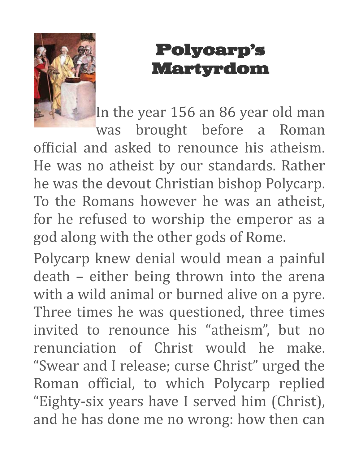

## [Polycarp's](http://storiesforpreaching.com/polycarps-martyrdom/)  [Martyrdom](http://storiesforpreaching.com/polycarps-martyrdom/)

In the year 156 an 86 year old man

was brought before a Roman official and asked to renounce his atheism. He was no atheist by our standards. Rather he was the devout Christian bishop Polycarp. To the Romans however he was an atheist, for he refused to worship the emperor as a god along with the other gods of Rome.

Polycarp knew denial would mean a painful death – either being thrown into the arena with a wild animal or burned alive on a pyre. Three times he was questioned, three times invited to renounce his "atheism", but no renunciation of Christ would he make. "Swear and I release; curse Christ" urged the Roman official, to which Polycarp replied "Eighty-six years have I served him (Christ), and he has done me no wrong: how then can